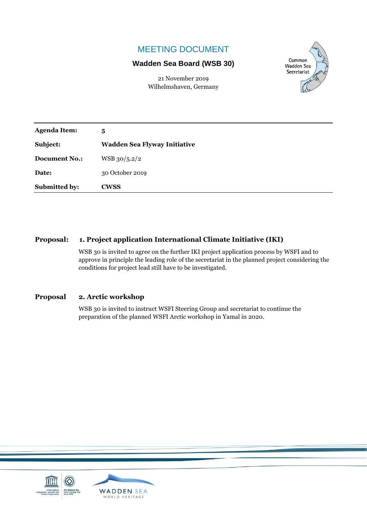## MEETING DOCUMENT

#### **Wadden Sea Board (WSB 30)**

21 November 2019 Wilhelmshaven, Germany



| <b>Agenda Item:</b>  | 5                                   |
|----------------------|-------------------------------------|
| Subject:             | <b>Wadden Sea Flyway Initiative</b> |
| <b>Document No.:</b> | WSB 30/5.2/2                        |
| Date:                | 30 October 2019                     |
| <b>Submitted by:</b> | <b>CWSS</b>                         |

#### **Proposal: 1. Project application International Climate Initiative (IKI)**

WSB 30 is invited to agree on the further IKI project application process by WSFI and to approve in principle the leading role of the secretariat in the planned project considering the conditions for project lead still have to be investigated.

#### **Proposal 2. Arctic workshop**

WSB 30 is invited to instruct WSFI Steering Group and secretariat to continue the preparation of the planned WSFI Arctic workshop in Yamal in 2020.

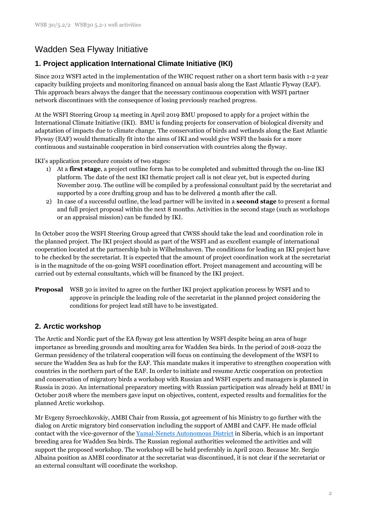# Wadden Sea Flyway Initiative

## **1. Project application International Climate Initiative (IKI)**

Since 2012 WSFI acted in the implementation of the WHC request rather on a short term basis with 1-2 year capacity building projects and monitoring financed on annual basis along the East Atlantic Flyway (EAF). This approach bears always the danger that the necessary continuous cooperation with WSFI partner network discontinues with the consequence of losing previously reached progress.

At the WSFI Steering Group 14 meeting in April 2019 BMU proposed to apply for a project within the International Climate Initiative (IKI). BMU is funding projects for conservation of biological diversity and adaptation of impacts due to climate change. The conservation of birds and wetlands along the East Atlantic Flyway (EAF) would thematically fit into the aims of IKI and would give WSFI the basis for a more continuous and sustainable cooperation in bird conservation with countries along the flyway.

IKI's application procedure consists of two stages:

- 1) At a **first stage**, a project outline form has to be completed and submitted through the on-line IKI platform. The date of the next IKI thematic project call is not clear yet, but is expected during November 2019. The outline will be compiled by a professional consultant paid by the secretariat and supported by a core drafting group and has to be delivered 4 month after the call.
- 2) In case of a successful outline, the lead partner will be invited in a **second stage** to present a formal and full project proposal within the next 8 months. Activities in the second stage (such as workshops or an appraisal mission) can be funded by IKI.

In October 2019 the WSFI Steering Group agreed that CWSS should take the lead and coordination role in the planned project. The IKI project should as part of the WSFI and as excellent example of international cooperation located at the partnership hub in Wilhelmshaven. The conditions for leading an IKI project have to be checked by the secretariat. It is expected that the amount of project coordination work at the secretariat is in the magnitude of the on-going WSFI coordination effort. Project management and accounting will be carried out by external consultants, which will be financed by the IKI project.

**Proposal** WSB 30 is invited to agree on the further IKI project application process by WSFI and to approve in principle the leading role of the secretariat in the planned project considering the conditions for project lead still have to be investigated.

## **2. Arctic workshop**

The Arctic and Nordic part of the EA flyway got less attention by WSFI despite being an area of huge importance as breeding grounds and moulting area for Wadden Sea birds. In the period of 2018-2022 the German presidency of the trilateral cooperation will focus on continuing the development of the WSFI to secure the Wadden Sea as hub for the EAF. This mandate makes it imperative to strengthen cooperation with countries in the northern part of the EAF. In order to initiate and resume Arctic cooperation on protection and conservation of migratory birds a workshop with Russian and WSFI experts and managers is planned in Russia in 2020. An international preparatory meeting with Russian participation was already held at BMU in October 2018 where the members gave input on objectives, content, expected results and formalities for the planned Arctic workshop.

Mr Evgeny Syroechkovskiy, AMBI Chair from Russia, got agreement of his Ministry to go further with the dialog on Arctic migratory bird conservation including the support of AMBI and CAFF. He made official contact with the vice-governor of the [Yamal-Nenets Autonomous District](https://goo.gl/maps/mvfSnmvz8H5Np6Y86) in Siberia, which is an important breeding area for Wadden Sea birds. The Russian regional authorities welcomed the activities and will support the proposed workshop. The workshop will be held preferably in April 2020. Because Mr. Sergio Albaina position as AMBI coordinator at the secretariat was discontinued, it is not clear if the secretariat or an external consultant will coordinate the workshop.